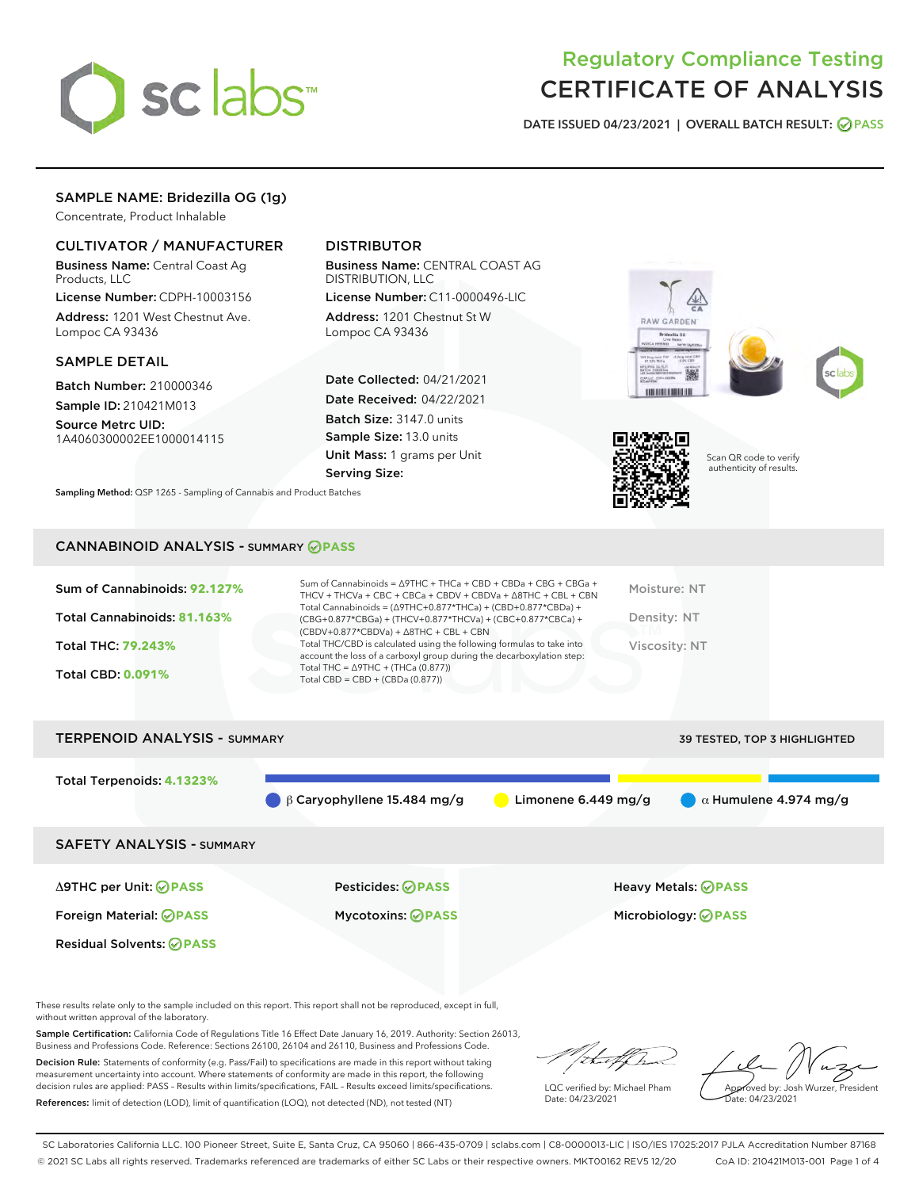

# Regulatory Compliance Testing CERTIFICATE OF ANALYSIS

DATE ISSUED 04/23/2021 | OVERALL BATCH RESULT: @ PASS

# SAMPLE NAME: Bridezilla OG (1g)

Concentrate, Product Inhalable

# CULTIVATOR / MANUFACTURER

Business Name: Central Coast Ag Products, LLC

License Number: CDPH-10003156 Address: 1201 West Chestnut Ave. Lompoc CA 93436

#### SAMPLE DETAIL

Batch Number: 210000346 Sample ID: 210421M013

Source Metrc UID: 1A4060300002EE1000014115

# DISTRIBUTOR

Business Name: CENTRAL COAST AG DISTRIBUTION, LLC

License Number: C11-0000496-LIC Address: 1201 Chestnut St W Lompoc CA 93436

Date Collected: 04/21/2021 Date Received: 04/22/2021 Batch Size: 3147.0 units Sample Size: 13.0 units Unit Mass: 1 grams per Unit Serving Size:







Scan QR code to verify authenticity of results.

CANNABINOID ANALYSIS - SUMMARY **PASS**

Sampling Method: QSP 1265 - Sampling of Cannabis and Product Batches

| Sum of Cannabinoids: 92.127% | Sum of Cannabinoids = $\triangle$ 9THC + THCa + CBD + CBDa + CBG + CBGa +<br>THCV + THCVa + CBC + CBCa + CBDV + CBDVa + $\Delta$ 8THC + CBL + CBN                                    | Moisture: NT  |
|------------------------------|--------------------------------------------------------------------------------------------------------------------------------------------------------------------------------------|---------------|
| Total Cannabinoids: 81.163%  | Total Cannabinoids = $(\Delta$ 9THC+0.877*THCa) + (CBD+0.877*CBDa) +<br>(CBG+0.877*CBGa) + (THCV+0.877*THCVa) + (CBC+0.877*CBCa) +<br>$(CBDV+0.877*CBDVa) + \Delta 8THC + CBL + CBN$ | Density: NT   |
| <b>Total THC: 79.243%</b>    | Total THC/CBD is calculated using the following formulas to take into<br>account the loss of a carboxyl group during the decarboxylation step:                                       | Viscosity: NT |
| <b>Total CBD: 0.091%</b>     | Total THC = $\triangle$ 9THC + (THCa (0.877))<br>Total CBD = $CBD + (CBDa (0.877))$                                                                                                  |               |
|                              |                                                                                                                                                                                      |               |

| <b>TERPENOID ANALYSIS - SUMMARY</b> |                                   | 39 TESTED, TOP 3 HIGHLIGHTED |                              |
|-------------------------------------|-----------------------------------|------------------------------|------------------------------|
| Total Terpenoids: 4.1323%           | $\beta$ Caryophyllene 15.484 mg/g | Limonene $6.449$ mg/g        | $\alpha$ Humulene 4.974 mg/g |
| <b>SAFETY ANALYSIS - SUMMARY</b>    |                                   |                              |                              |
| ∆9THC per Unit: ⊘PASS               | <b>Pesticides: ⊘PASS</b>          |                              | <b>Heavy Metals: ⊘ PASS</b>  |
| Foreign Material: <b>⊘ PASS</b>     | <b>Mycotoxins: ⊘PASS</b>          |                              | Microbiology: <b>OPASS</b>   |
| <b>Residual Solvents: ⊘PASS</b>     |                                   |                              |                              |

These results relate only to the sample included on this report. This report shall not be reproduced, except in full, without written approval of the laboratory.

Sample Certification: California Code of Regulations Title 16 Effect Date January 16, 2019. Authority: Section 26013, Business and Professions Code. Reference: Sections 26100, 26104 and 26110, Business and Professions Code.

Decision Rule: Statements of conformity (e.g. Pass/Fail) to specifications are made in this report without taking measurement uncertainty into account. Where statements of conformity are made in this report, the following decision rules are applied: PASS – Results within limits/specifications, FAIL – Results exceed limits/specifications. References: limit of detection (LOD), limit of quantification (LOQ), not detected (ND), not tested (NT)

/ that f(ho

LQC verified by: Michael Pham Date: 04/23/2021

Approved by: Josh Wurzer, President Date: 04/23/2021

SC Laboratories California LLC. 100 Pioneer Street, Suite E, Santa Cruz, CA 95060 | 866-435-0709 | sclabs.com | C8-0000013-LIC | ISO/IES 17025:2017 PJLA Accreditation Number 87168 © 2021 SC Labs all rights reserved. Trademarks referenced are trademarks of either SC Labs or their respective owners. MKT00162 REV5 12/20 CoA ID: 210421M013-001 Page 1 of 4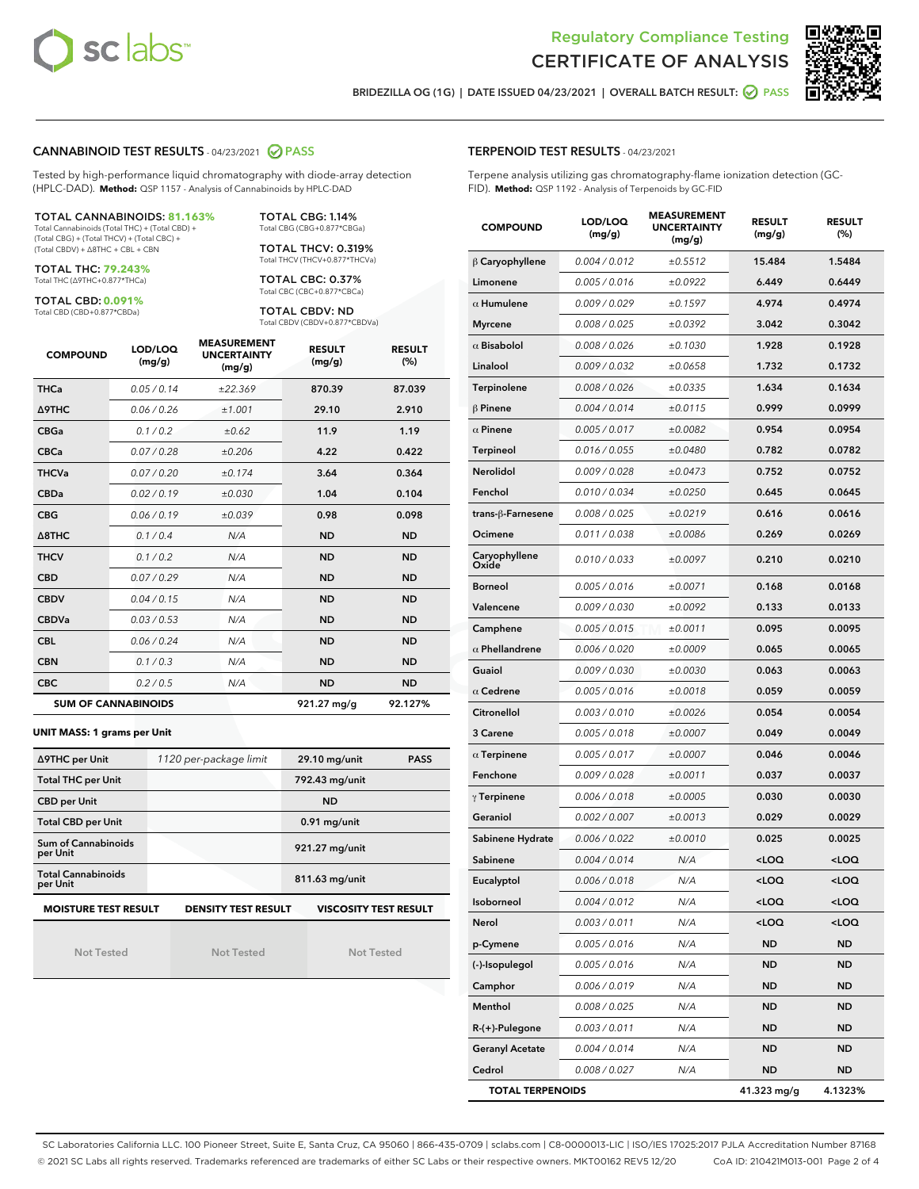



BRIDEZILLA OG (1G) | DATE ISSUED 04/23/2021 | OVERALL BATCH RESULT: @ PASS

#### CANNABINOID TEST RESULTS - 04/23/2021 2 PASS

Tested by high-performance liquid chromatography with diode-array detection (HPLC-DAD). **Method:** QSP 1157 - Analysis of Cannabinoids by HPLC-DAD

#### TOTAL CANNABINOIDS: **81.163%**

Total Cannabinoids (Total THC) + (Total CBD) + (Total CBG) + (Total THCV) + (Total CBC) + (Total CBDV) + ∆8THC + CBL + CBN

TOTAL THC: **79.243%** Total THC (∆9THC+0.877\*THCa)

TOTAL CBD: **0.091%**

Total CBD (CBD+0.877\*CBDa)

TOTAL CBG: 1.14% Total CBG (CBG+0.877\*CBGa)

TOTAL THCV: 0.319% Total THCV (THCV+0.877\*THCVa)

TOTAL CBC: 0.37% Total CBC (CBC+0.877\*CBCa)

TOTAL CBDV: ND Total CBDV (CBDV+0.877\*CBDVa)

| <b>COMPOUND</b> | LOD/LOQ<br>(mg/g)          | <b>MEASUREMENT</b><br><b>UNCERTAINTY</b><br>(mg/g) | <b>RESULT</b><br>(mg/g) | <b>RESULT</b><br>(%) |
|-----------------|----------------------------|----------------------------------------------------|-------------------------|----------------------|
| <b>THCa</b>     | 0.05/0.14                  | ±22.369                                            | 870.39                  | 87.039               |
| <b>A9THC</b>    | 0.06 / 0.26                | ±1,001                                             | 29.10                   | 2.910                |
| <b>CBGa</b>     | 0.1/0.2                    | ±0.62                                              | 11.9                    | 1.19                 |
| <b>CBCa</b>     | 0.07 / 0.28                | ±0.206                                             | 4.22                    | 0.422                |
| <b>THCVa</b>    | 0.07/0.20                  | ±0.174                                             | 3.64                    | 0.364                |
| <b>CBDa</b>     | 0.02/0.19                  | ±0.030                                             | 1.04                    | 0.104                |
| <b>CBG</b>      | 0.06/0.19                  | ±0.039                                             | 0.98                    | 0.098                |
| A8THC           | 0.1/0.4                    | N/A                                                | <b>ND</b>               | <b>ND</b>            |
| <b>THCV</b>     | 0.1/0.2                    | N/A                                                | <b>ND</b>               | <b>ND</b>            |
| <b>CBD</b>      | 0.07/0.29                  | N/A                                                | <b>ND</b>               | <b>ND</b>            |
| <b>CBDV</b>     | 0.04 / 0.15                | N/A                                                | <b>ND</b>               | <b>ND</b>            |
| <b>CBDVa</b>    | 0.03 / 0.53                | N/A                                                | <b>ND</b>               | <b>ND</b>            |
| <b>CBL</b>      | 0.06 / 0.24                | N/A                                                | <b>ND</b>               | <b>ND</b>            |
| <b>CBN</b>      | 0.1/0.3                    | N/A                                                | <b>ND</b>               | <b>ND</b>            |
| <b>CBC</b>      | 0.2 / 0.5                  | N/A                                                | <b>ND</b>               | <b>ND</b>            |
|                 | <b>SUM OF CANNABINOIDS</b> |                                                    | 921.27 mg/g             | 92.127%              |

#### **UNIT MASS: 1 grams per Unit**

| ∆9THC per Unit                         | 1120 per-package limit     | 29.10 mg/unit<br><b>PASS</b> |
|----------------------------------------|----------------------------|------------------------------|
| <b>Total THC per Unit</b>              |                            | 792.43 mg/unit               |
| <b>CBD per Unit</b>                    |                            | <b>ND</b>                    |
| <b>Total CBD per Unit</b>              |                            | $0.91$ mg/unit               |
| <b>Sum of Cannabinoids</b><br>per Unit |                            | 921.27 mg/unit               |
| <b>Total Cannabinoids</b><br>per Unit  |                            | 811.63 mg/unit               |
| <b>MOISTURE TEST RESULT</b>            | <b>DENSITY TEST RESULT</b> | <b>VISCOSITY TEST RESULT</b> |

# **MOISTURE TEST RESULT**

Not Tested

Not Tested

Not Tested

#### TERPENOID TEST RESULTS - 04/23/2021

Terpene analysis utilizing gas chromatography-flame ionization detection (GC-FID). **Method:** QSP 1192 - Analysis of Terpenoids by GC-FID

| <b>COMPOUND</b>         | LOD/LOQ<br>(mg/g) | <b>MEASUREMENT</b><br><b>UNCERTAINTY</b><br>(mg/g) | <b>RESULT</b><br>(mg/g)                          | <b>RESULT</b><br>(%) |
|-------------------------|-------------------|----------------------------------------------------|--------------------------------------------------|----------------------|
| $\beta$ Caryophyllene   | 0.004 / 0.012     | ±0.5512                                            | 15.484                                           | 1.5484               |
| Limonene                | 0.005 / 0.016     | ±0.0922                                            | 6.449                                            | 0.6449               |
| $\alpha$ Humulene       | 0.009/0.029       | ±0.1597                                            | 4.974                                            | 0.4974               |
| <b>Myrcene</b>          | 0.008 / 0.025     | ±0.0392                                            | 3.042                                            | 0.3042               |
| $\alpha$ Bisabolol      | 0.008 / 0.026     | ±0.1030                                            | 1.928                                            | 0.1928               |
| Linalool                | 0.009 / 0.032     | ±0.0658                                            | 1.732                                            | 0.1732               |
| Terpinolene             | 0.008 / 0.026     | ±0.0335                                            | 1.634                                            | 0.1634               |
| $\beta$ Pinene          | 0.004 / 0.014     | ±0.0115                                            | 0.999                                            | 0.0999               |
| $\alpha$ Pinene         | 0.005 / 0.017     | ±0.0082                                            | 0.954                                            | 0.0954               |
| Terpineol               | 0.016 / 0.055     | ±0.0480                                            | 0.782                                            | 0.0782               |
| Nerolidol               | 0.009 / 0.028     | ±0.0473                                            | 0.752                                            | 0.0752               |
| Fenchol                 | 0.010 / 0.034     | ±0.0250                                            | 0.645                                            | 0.0645               |
| trans-β-Farnesene       | 0.008 / 0.025     | ±0.0219                                            | 0.616                                            | 0.0616               |
| Ocimene                 | 0.011 / 0.038     | ±0.0086                                            | 0.269                                            | 0.0269               |
| Caryophyllene<br>Oxide  | 0.010 / 0.033     | ±0.0097                                            | 0.210                                            | 0.0210               |
| <b>Borneol</b>          | 0.005 / 0.016     | ±0.0071                                            | 0.168                                            | 0.0168               |
| Valencene               | 0.009 / 0.030     | ±0.0092                                            | 0.133                                            | 0.0133               |
| Camphene                | 0.005 / 0.015     | ±0.0011                                            | 0.095                                            | 0.0095               |
| $\alpha$ Phellandrene   | 0.006 / 0.020     | ±0.0009                                            | 0.065                                            | 0.0065               |
| Guaiol                  | 0.009 / 0.030     | ±0.0030                                            | 0.063                                            | 0.0063               |
| $\alpha$ Cedrene        | 0.005 / 0.016     | ±0.0018                                            | 0.059                                            | 0.0059               |
| Citronellol             | 0.003 / 0.010     | ±0.0026                                            | 0.054                                            | 0.0054               |
| 3 Carene                | 0.005 / 0.018     | ±0.0007                                            | 0.049                                            | 0.0049               |
| $\alpha$ Terpinene      | 0.005 / 0.017     | ±0.0007                                            | 0.046                                            | 0.0046               |
| Fenchone                | 0.009 / 0.028     | ±0.0011                                            | 0.037                                            | 0.0037               |
| $\gamma$ Terpinene      | 0.006 / 0.018     | ±0.0005                                            | 0.030                                            | 0.0030               |
| Geraniol                | 0.002 / 0.007     | ±0.0013                                            | 0.029                                            | 0.0029               |
| Sabinene Hydrate        | 0.006 / 0.022     | ±0.0010                                            | 0.025                                            | 0.0025               |
| Sabinene                | 0.004 / 0.014     | N/A                                                | <loq< th=""><th><loq< th=""></loq<></th></loq<>  | <loq< th=""></loq<>  |
| Eucalyptol              | 0.006 / 0.018     | N/A                                                | <loq< th=""><th><loq< th=""></loq<></th></loq<>  | <loq< th=""></loq<>  |
| Isoborneol              | 0.004 / 0.012     | N/A                                                | <loq< th=""><th><math>&lt;</math>LOQ</th></loq<> | $<$ LOQ              |
| Nerol                   | 0.003 / 0.011     | N/A                                                | <loq< th=""><th><loq< th=""></loq<></th></loq<>  | <loq< th=""></loq<>  |
| p-Cymene                | 0.005 / 0.016     | N/A                                                | ND                                               | ND                   |
| (-)-Isopulegol          | 0.005 / 0.016     | N/A                                                | ND                                               | ND                   |
| Camphor                 | 0.006 / 0.019     | N/A                                                | ND                                               | ND                   |
| Menthol                 | 0.008 / 0.025     | N/A                                                | ND                                               | ND                   |
| R-(+)-Pulegone          | 0.003 / 0.011     | N/A                                                | <b>ND</b>                                        | ND                   |
| <b>Geranyl Acetate</b>  | 0.004 / 0.014     | N/A                                                | ND                                               | ND                   |
| Cedrol                  | 0.008 / 0.027     | N/A                                                | ND                                               | ND                   |
| <b>TOTAL TERPENOIDS</b> |                   |                                                    | 41.323 mg/g                                      | 4.1323%              |

SC Laboratories California LLC. 100 Pioneer Street, Suite E, Santa Cruz, CA 95060 | 866-435-0709 | sclabs.com | C8-0000013-LIC | ISO/IES 17025:2017 PJLA Accreditation Number 87168 © 2021 SC Labs all rights reserved. Trademarks referenced are trademarks of either SC Labs or their respective owners. MKT00162 REV5 12/20 CoA ID: 210421M013-001 Page 2 of 4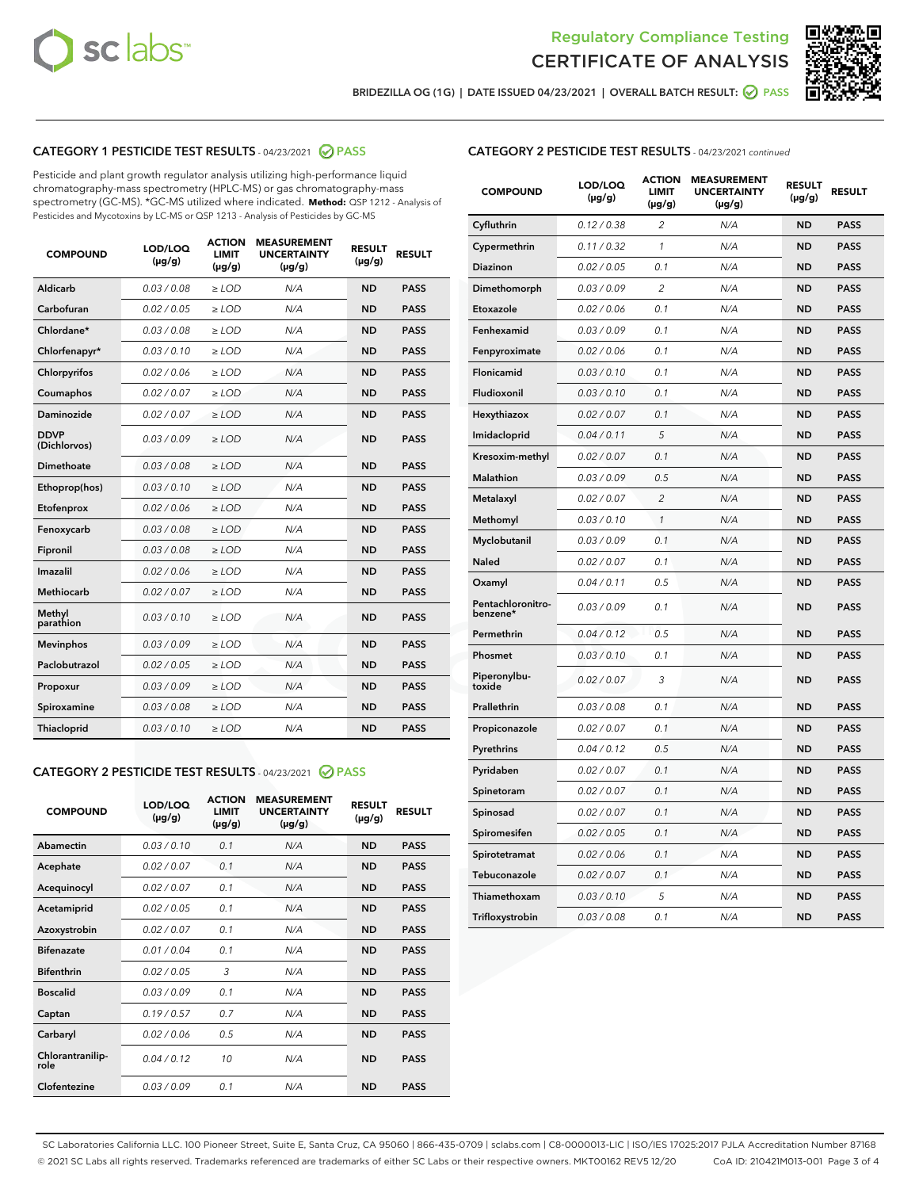



BRIDEZILLA OG (1G) | DATE ISSUED 04/23/2021 | OVERALL BATCH RESULT: @ PASS

# CATEGORY 1 PESTICIDE TEST RESULTS - 04/23/2021 2 PASS

Pesticide and plant growth regulator analysis utilizing high-performance liquid chromatography-mass spectrometry (HPLC-MS) or gas chromatography-mass spectrometry (GC-MS). \*GC-MS utilized where indicated. **Method:** QSP 1212 - Analysis of Pesticides and Mycotoxins by LC-MS or QSP 1213 - Analysis of Pesticides by GC-MS

| <b>COMPOUND</b>             | LOD/LOQ<br>$(\mu g/g)$ | <b>ACTION</b><br><b>LIMIT</b><br>$(\mu g/g)$ | <b>MEASUREMENT</b><br><b>UNCERTAINTY</b><br>$(\mu g/g)$ | <b>RESULT</b><br>$(\mu g/g)$ | <b>RESULT</b> |
|-----------------------------|------------------------|----------------------------------------------|---------------------------------------------------------|------------------------------|---------------|
| Aldicarb                    | 0.03 / 0.08            | $\ge$ LOD                                    | N/A                                                     | <b>ND</b>                    | <b>PASS</b>   |
| Carbofuran                  | 0.02/0.05              | $>$ LOD                                      | N/A                                                     | <b>ND</b>                    | <b>PASS</b>   |
| Chlordane*                  | 0.03 / 0.08            | $\ge$ LOD                                    | N/A                                                     | <b>ND</b>                    | <b>PASS</b>   |
| Chlorfenapyr*               | 0.03/0.10              | $\ge$ LOD                                    | N/A                                                     | <b>ND</b>                    | <b>PASS</b>   |
| Chlorpyrifos                | 0.02 / 0.06            | $\ge$ LOD                                    | N/A                                                     | <b>ND</b>                    | <b>PASS</b>   |
| Coumaphos                   | 0.02 / 0.07            | $\ge$ LOD                                    | N/A                                                     | <b>ND</b>                    | <b>PASS</b>   |
| Daminozide                  | 0.02/0.07              | $>$ LOD                                      | N/A                                                     | <b>ND</b>                    | <b>PASS</b>   |
| <b>DDVP</b><br>(Dichlorvos) | 0.03/0.09              | $\ge$ LOD                                    | N/A                                                     | <b>ND</b>                    | <b>PASS</b>   |
| Dimethoate                  | 0.03 / 0.08            | $\ge$ LOD                                    | N/A                                                     | <b>ND</b>                    | <b>PASS</b>   |
| Ethoprop(hos)               | 0.03/0.10              | $>$ LOD                                      | N/A                                                     | <b>ND</b>                    | <b>PASS</b>   |
| Etofenprox                  | 0.02 / 0.06            | $\ge$ LOD                                    | N/A                                                     | <b>ND</b>                    | <b>PASS</b>   |
| Fenoxycarb                  | 0.03 / 0.08            | $\ge$ LOD                                    | N/A                                                     | <b>ND</b>                    | <b>PASS</b>   |
| Fipronil                    | 0.03/0.08              | $\ge$ LOD                                    | N/A                                                     | <b>ND</b>                    | <b>PASS</b>   |
| Imazalil                    | 0.02 / 0.06            | $\ge$ LOD                                    | N/A                                                     | <b>ND</b>                    | <b>PASS</b>   |
| <b>Methiocarb</b>           | 0.02 / 0.07            | $\ge$ LOD                                    | N/A                                                     | <b>ND</b>                    | <b>PASS</b>   |
| Methyl<br>parathion         | 0.03/0.10              | $\ge$ LOD                                    | N/A                                                     | <b>ND</b>                    | <b>PASS</b>   |
| <b>Mevinphos</b>            | 0.03/0.09              | $>$ LOD                                      | N/A                                                     | <b>ND</b>                    | <b>PASS</b>   |
| Paclobutrazol               | 0.02 / 0.05            | $\ge$ LOD                                    | N/A                                                     | <b>ND</b>                    | <b>PASS</b>   |
| Propoxur                    | 0.03/0.09              | $\ge$ LOD                                    | N/A                                                     | <b>ND</b>                    | <b>PASS</b>   |
| Spiroxamine                 | 0.03 / 0.08            | $\ge$ LOD                                    | N/A                                                     | <b>ND</b>                    | <b>PASS</b>   |
| Thiacloprid                 | 0.03/0.10              | $\ge$ LOD                                    | N/A                                                     | <b>ND</b>                    | <b>PASS</b>   |

#### CATEGORY 2 PESTICIDE TEST RESULTS - 04/23/2021 @ PASS

| <b>COMPOUND</b>          | LOD/LOO<br>$(\mu g/g)$ | <b>ACTION</b><br>LIMIT<br>$(\mu g/g)$ | <b>MEASUREMENT</b><br><b>UNCERTAINTY</b><br>$(\mu g/g)$ | <b>RESULT</b><br>$(\mu g/g)$ | <b>RESULT</b> |
|--------------------------|------------------------|---------------------------------------|---------------------------------------------------------|------------------------------|---------------|
| Abamectin                | 0.03/0.10              | 0.1                                   | N/A                                                     | <b>ND</b>                    | <b>PASS</b>   |
| Acephate                 | 0.02/0.07              | 0.1                                   | N/A                                                     | <b>ND</b>                    | <b>PASS</b>   |
| Acequinocyl              | 0.02/0.07              | 0.1                                   | N/A                                                     | <b>ND</b>                    | <b>PASS</b>   |
| Acetamiprid              | 0.02/0.05              | 0.1                                   | N/A                                                     | <b>ND</b>                    | <b>PASS</b>   |
| Azoxystrobin             | 0.02/0.07              | 0.1                                   | N/A                                                     | <b>ND</b>                    | <b>PASS</b>   |
| <b>Bifenazate</b>        | 0.01/0.04              | 0.1                                   | N/A                                                     | <b>ND</b>                    | <b>PASS</b>   |
| <b>Bifenthrin</b>        | 0.02 / 0.05            | 3                                     | N/A                                                     | <b>ND</b>                    | <b>PASS</b>   |
| <b>Boscalid</b>          | 0.03/0.09              | 0.1                                   | N/A                                                     | <b>ND</b>                    | <b>PASS</b>   |
| Captan                   | 0.19/0.57              | 0.7                                   | N/A                                                     | <b>ND</b>                    | <b>PASS</b>   |
| Carbaryl                 | 0.02/0.06              | 0.5                                   | N/A                                                     | <b>ND</b>                    | <b>PASS</b>   |
| Chlorantranilip-<br>role | 0.04/0.12              | 10                                    | N/A                                                     | <b>ND</b>                    | <b>PASS</b>   |
| Clofentezine             | 0.03/0.09              | 0.1                                   | N/A                                                     | <b>ND</b>                    | <b>PASS</b>   |

# CATEGORY 2 PESTICIDE TEST RESULTS - 04/23/2021 continued

| <b>COMPOUND</b>               | LOD/LOQ<br>(µg/g) | <b>ACTION</b><br><b>LIMIT</b><br>$(\mu g/g)$ | <b>MEASUREMENT</b><br><b>UNCERTAINTY</b><br>$(\mu g/g)$ | <b>RESULT</b><br>(µg/g) | <b>RESULT</b> |
|-------------------------------|-------------------|----------------------------------------------|---------------------------------------------------------|-------------------------|---------------|
| Cyfluthrin                    | 0.12 / 0.38       | $\overline{c}$                               | N/A                                                     | ND                      | <b>PASS</b>   |
| Cypermethrin                  | 0.11 / 0.32       | $\mathcal{I}$                                | N/A                                                     | ND                      | <b>PASS</b>   |
| Diazinon                      | 0.02 / 0.05       | 0.1                                          | N/A                                                     | <b>ND</b>               | <b>PASS</b>   |
| Dimethomorph                  | 0.03 / 0.09       | 2                                            | N/A                                                     | ND                      | <b>PASS</b>   |
| Etoxazole                     | 0.02 / 0.06       | 0.1                                          | N/A                                                     | ND                      | <b>PASS</b>   |
| Fenhexamid                    | 0.03 / 0.09       | 0.1                                          | N/A                                                     | <b>ND</b>               | <b>PASS</b>   |
| Fenpyroximate                 | 0.02 / 0.06       | 0.1                                          | N/A                                                     | ND                      | <b>PASS</b>   |
| Flonicamid                    | 0.03 / 0.10       | 0.1                                          | N/A                                                     | ND                      | <b>PASS</b>   |
| Fludioxonil                   | 0.03 / 0.10       | 0.1                                          | N/A                                                     | <b>ND</b>               | <b>PASS</b>   |
| Hexythiazox                   | 0.02 / 0.07       | 0.1                                          | N/A                                                     | <b>ND</b>               | <b>PASS</b>   |
| Imidacloprid                  | 0.04 / 0.11       | 5                                            | N/A                                                     | ND                      | <b>PASS</b>   |
| Kresoxim-methyl               | 0.02 / 0.07       | 0.1                                          | N/A                                                     | <b>ND</b>               | <b>PASS</b>   |
| Malathion                     | 0.03 / 0.09       | 0.5                                          | N/A                                                     | ND                      | <b>PASS</b>   |
| Metalaxyl                     | 0.02 / 0.07       | $\overline{c}$                               | N/A                                                     | ND                      | PASS          |
| Methomyl                      | 0.03 / 0.10       | 1                                            | N/A                                                     | <b>ND</b>               | <b>PASS</b>   |
| Myclobutanil                  | 0.03 / 0.09       | 0.1                                          | N/A                                                     | ND                      | <b>PASS</b>   |
| Naled                         | 0.02 / 0.07       | 0.1                                          | N/A                                                     | ND                      | <b>PASS</b>   |
| Oxamyl                        | 0.04 / 0.11       | 0.5                                          | N/A                                                     | ND                      | <b>PASS</b>   |
| Pentachloronitro-<br>benzene* | 0.03 / 0.09       | 0.1                                          | N/A                                                     | ND                      | <b>PASS</b>   |
| Permethrin                    | 0.04 / 0.12       | 0.5                                          | N/A                                                     | <b>ND</b>               | <b>PASS</b>   |
| Phosmet                       | 0.03 / 0.10       | 0.1                                          | N/A                                                     | ND                      | <b>PASS</b>   |
| Piperonylbu-<br>toxide        | 0.02 / 0.07       | 3                                            | N/A                                                     | ND                      | <b>PASS</b>   |
| Prallethrin                   | 0.03 / 0.08       | 0.1                                          | N/A                                                     | ND                      | <b>PASS</b>   |
| Propiconazole                 | 0.02 / 0.07       | 0.1                                          | N/A                                                     | ND                      | <b>PASS</b>   |
| Pyrethrins                    | 0.04 / 0.12       | 0.5                                          | N/A                                                     | <b>ND</b>               | <b>PASS</b>   |
| Pyridaben                     | 0.02 / 0.07       | 0.1                                          | N/A                                                     | ND                      | <b>PASS</b>   |
| Spinetoram                    | 0.02 / 0.07       | 0.1                                          | N/A                                                     | ND                      | PASS          |
| Spinosad                      | 0.02 / 0.07       | 0.1                                          | N/A                                                     | <b>ND</b>               | <b>PASS</b>   |
| Spiromesifen                  | 0.02 / 0.05       | 0.1                                          | N/A                                                     | ND                      | <b>PASS</b>   |
| Spirotetramat                 | 0.02 / 0.06       | 0.1                                          | N/A                                                     | ND                      | <b>PASS</b>   |
| Tebuconazole                  | 0.02 / 0.07       | 0.1                                          | N/A                                                     | ND                      | <b>PASS</b>   |
| Thiamethoxam                  | 0.03 / 0.10       | 5                                            | N/A                                                     | ND                      | <b>PASS</b>   |
| Trifloxystrobin               | 0.03 / 0.08       | 0.1                                          | N/A                                                     | <b>ND</b>               | <b>PASS</b>   |

SC Laboratories California LLC. 100 Pioneer Street, Suite E, Santa Cruz, CA 95060 | 866-435-0709 | sclabs.com | C8-0000013-LIC | ISO/IES 17025:2017 PJLA Accreditation Number 87168 © 2021 SC Labs all rights reserved. Trademarks referenced are trademarks of either SC Labs or their respective owners. MKT00162 REV5 12/20 CoA ID: 210421M013-001 Page 3 of 4